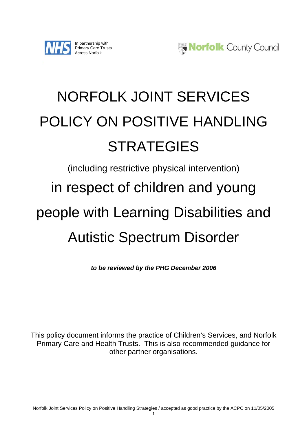



# NORFOLK JOINT SERVICES POLICY ON POSITIVE HANDLING **STRATEGIES**

## (including restrictive physical intervention) in respect of children and young people with Learning Disabilities and Autistic Spectrum Disorder

*to be reviewed by the PHG December 2006* 

This policy document informs the practice of Children's Services, and Norfolk Primary Care and Health Trusts. This is also recommended guidance for other partner organisations.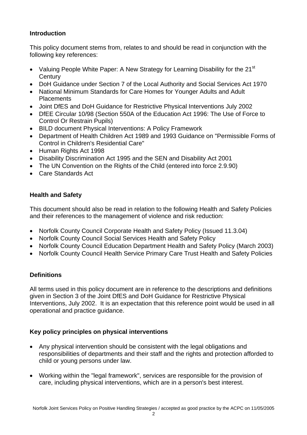## **Introduction**

This policy document stems from, relates to and should be read in conjunction with the following key references:

- Valuing People White Paper: A New Strategy for Learning Disability for the 21<sup>st</sup> **Century**
- DoH Guidance under Section 7 of the Local Authority and Social Services Act 1970
- National Minimum Standards for Care Homes for Younger Adults and Adult **Placements**
- Joint DfES and DoH Guidance for Restrictive Physical Interventions July 2002
- DfEE Circular 10/98 (Section 550A of the Education Act 1996: The Use of Force to Control Or Restrain Pupils)
- BILD document Physical Interventions: A Policy Framework
- Department of Health Children Act 1989 and 1993 Guidance on "Permissible Forms of Control in Children's Residential Care"
- Human Rights Act 1998
- Disability Discrimination Act 1995 and the SEN and Disability Act 2001
- The UN Convention on the Rights of the Child (entered into force 2.9.90)
- Care Standards Act

## **Health and Safety**

This document should also be read in relation to the following Health and Safety Policies and their references to the management of violence and risk reduction:

- Norfolk County Council Corporate Health and Safety Policy (Issued 11.3.04)
- Norfolk County Council Social Services Health and Safety Policy
- Norfolk County Council Education Department Health and Safety Policy (March 2003)
- Norfolk County Council Health Service Primary Care Trust Health and Safety Policies

## **Definitions**

All terms used in this policy document are in reference to the descriptions and definitions given in Section 3 of the Joint DfES and DoH Guidance for Restrictive Physical Interventions, July 2002. It is an expectation that this reference point would be used in all operational and practice guidance.

## **Key policy principles on physical interventions**

- Any physical intervention should be consistent with the legal obligations and responsibilities of departments and their staff and the rights and protection afforded to child or young persons under law.
- Working within the "legal framework", services are responsible for the provision of care, including physical interventions, which are in a person's best interest.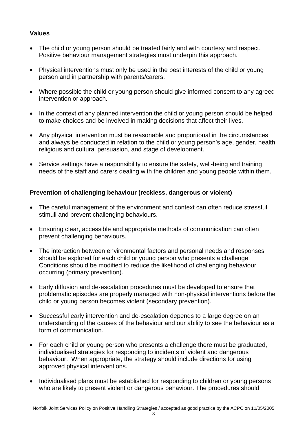## **Values**

- The child or young person should be treated fairly and with courtesy and respect. Positive behaviour management strategies must underpin this approach.
- Physical interventions must only be used in the best interests of the child or young person and in partnership with parents/carers.
- Where possible the child or young person should give informed consent to any agreed intervention or approach.
- In the context of any planned intervention the child or young person should be helped to make choices and be involved in making decisions that affect their lives.
- Any physical intervention must be reasonable and proportional in the circumstances and always be conducted in relation to the child or young person's age, gender, health, religious and cultural persuasion, and stage of development.
- Service settings have a responsibility to ensure the safety, well-being and training needs of the staff and carers dealing with the children and young people within them.

#### **Prevention of challenging behaviour (reckless, dangerous or violent)**

- The careful management of the environment and context can often reduce stressful stimuli and prevent challenging behaviours.
- Ensuring clear, accessible and appropriate methods of communication can often prevent challenging behaviours.
- The interaction between environmental factors and personal needs and responses should be explored for each child or young person who presents a challenge. Conditions should be modified to reduce the likelihood of challenging behaviour occurring (primary prevention).
- Early diffusion and de-escalation procedures must be developed to ensure that problematic episodes are properly managed with non-physical interventions before the child or young person becomes violent (secondary prevention).
- Successful early intervention and de-escalation depends to a large degree on an understanding of the causes of the behaviour and our ability to see the behaviour as a form of communication.
- For each child or young person who presents a challenge there must be graduated, individualised strategies for responding to incidents of violent and dangerous behaviour. When appropriate, the strategy should include directions for using approved physical interventions.
- Individualised plans must be established for responding to children or young persons who are likely to present violent or dangerous behaviour. The procedures should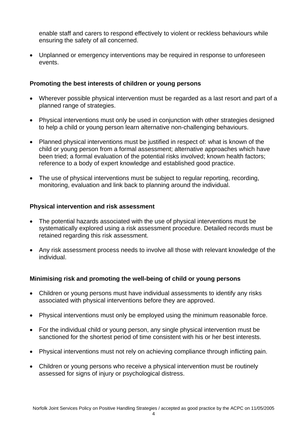enable staff and carers to respond effectively to violent or reckless behaviours while ensuring the safety of all concerned.

• Unplanned or emergency interventions may be required in response to unforeseen events.

#### **Promoting the best interests of children or young persons**

- Wherever possible physical intervention must be regarded as a last resort and part of a planned range of strategies.
- Physical interventions must only be used in conjunction with other strategies designed to help a child or young person learn alternative non-challenging behaviours.
- Planned physical interventions must be justified in respect of: what is known of the child or young person from a formal assessment; alternative approaches which have been tried; a formal evaluation of the potential risks involved; known health factors; reference to a body of expert knowledge and established good practice.
- The use of physical interventions must be subject to regular reporting, recording, monitoring, evaluation and link back to planning around the individual.

#### **Physical intervention and risk assessment**

- The potential hazards associated with the use of physical interventions must be systematically explored using a risk assessment procedure. Detailed records must be retained regarding this risk assessment.
- Any risk assessment process needs to involve all those with relevant knowledge of the individual.

#### **Minimising risk and promoting the well-being of child or young persons**

- Children or young persons must have individual assessments to identify any risks associated with physical interventions before they are approved.
- Physical interventions must only be employed using the minimum reasonable force.
- For the individual child or young person, any single physical intervention must be sanctioned for the shortest period of time consistent with his or her best interests.
- Physical interventions must not rely on achieving compliance through inflicting pain.
- Children or young persons who receive a physical intervention must be routinely assessed for signs of injury or psychological distress.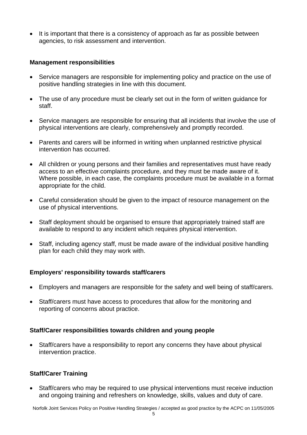• It is important that there is a consistency of approach as far as possible between agencies, to risk assessment and intervention.

#### **Management responsibilities**

- Service managers are responsible for implementing policy and practice on the use of positive handling strategies in line with this document.
- The use of any procedure must be clearly set out in the form of written guidance for staff.
- Service managers are responsible for ensuring that all incidents that involve the use of physical interventions are clearly, comprehensively and promptly recorded.
- Parents and carers will be informed in writing when unplanned restrictive physical intervention has occurred.
- All children or young persons and their families and representatives must have ready access to an effective complaints procedure, and they must be made aware of it. Where possible, in each case, the complaints procedure must be available in a format appropriate for the child.
- Careful consideration should be given to the impact of resource management on the use of physical interventions.
- Staff deployment should be organised to ensure that appropriately trained staff are available to respond to any incident which requires physical intervention.
- Staff, including agency staff, must be made aware of the individual positive handling plan for each child they may work with.

#### **Employers' responsibility towards staff/carers**

- Employers and managers are responsible for the safety and well being of staff/carers.
- Staff/carers must have access to procedures that allow for the monitoring and reporting of concerns about practice.

#### **Staff/Carer responsibilities towards children and young people**

• Staff/carers have a responsibility to report any concerns they have about physical intervention practice.

#### **Staff/Carer Training**

• Staff/carers who may be required to use physical interventions must receive induction and ongoing training and refreshers on knowledge, skills, values and duty of care.

Norfolk Joint Services Policy on Positive Handling Strategies / accepted as good practice by the ACPC on 11/05/2005